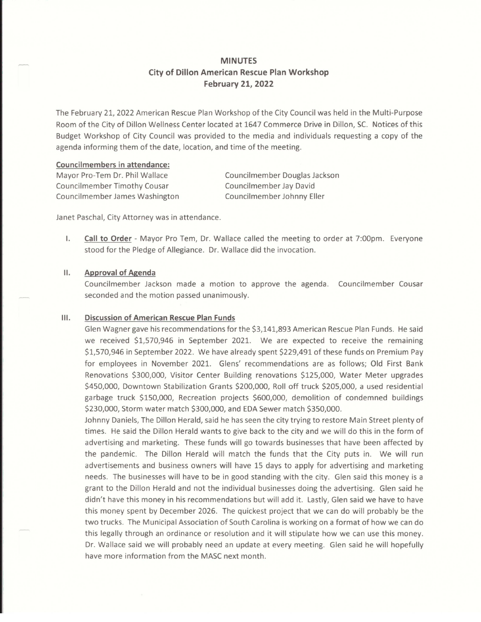# MINUTES City of Dillon American Rescue Plan Workshop February 21, 2022

The February 21, 2022 American Rescue Plan Workshop of the City Council was held in the Multi-Purpose Room of the City of Dillon Wellness Center located at 1647 Commerce Drive in Dillon, SC. Notices of this Budget Workshop of City Council was provided to the media and individuals requesting a copy of the agenda informing them of the date, location, and time of the meeting.

### Councilmembers in attendance:

Mayor Pro-Tern Dr. Phil Wallace Councilmember Timothy Cousar Councilmember James Washington Councilmember Douglas Jackson Councilmember Jay David Councilmember Johnny Eller

Janet Paschal, City Attorney was in attendance.

 $\mathsf{L}$ Call to Order - Mayor Pro Tern, Dr. Wallace called the meeting to order at 7:00pm. Everyone stood for the Pledge of Allegiance. Dr. Wallace did the invocation.

#### **Approval of Agenda**  $II.$

Councilmember Jackson made a motion to approve the agenda, Councilmember Cousar seconded and the motion passed unanimously.

#### $III.$ Discussion of American Rescue Plan Funds

Glen Wagner gave his recommendations for the \$3,141,893 American Rescue Plan Funds. He said we received \$1,570,946 in September 2021. We are expected to receive the remaining \$1,570,946 in September 2022. We have already spent \$229,491 ofthese funds on Premium Pay for employees in November 2021. Glens' recommendations are as follows; Old First Bank Renovations \$300,000, Visitor Center Building renovations \$125,000, Water Meter upgrades \$450,000, Downtown Stabilization Grants \$200,000, Roll offtruck \$205,000, a used residential garbage truck \$150,000, Recreation projects \$600,000, demolition of condemned buildings \$230,000, Storm water match \$300,000, and EDA Sewer match \$350,000.

Johnny Daniels, The Dillon Herald, said he has seen the city trying to restore Main Street plenty of times. He said the Dillon Herald wants to give back to the city and we will do this in the form of advertising and marketing. These funds will go towards businessesthat have been affected by the pandemic. The Dillon Herald will match the funds that the City puts in. We will run advertisements and business owners will have 15 daysto apply for advertising and marketing needs. The businesses will have to be in good standing with the city. Glen said this money is <sup>a</sup> grant to the Dillon Herald and not the individual businesses doing the advertising. Glen said he didn't have this money in his recommendations but will add it. Lastly, Glen said we have to have this money spent by December 2026. The quickest project that we can do will probably be the two trucks. The Municipal Association of South Carolina is working on a format of how we can do thislegally through an ordinance or resolution and it will stipulate how we can use this money. Dr. Wallace said we will probably need an update at every meeting. Glen said he will hopefully have more information from the MASC next month.